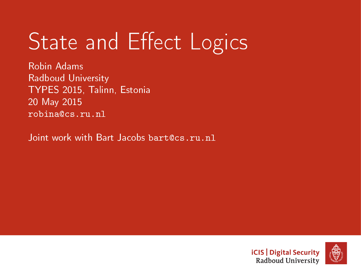# State and Effect Logics

Robin Adams Radboud University TYPES 2015, Talinn, Estonia 20 May 2015 robina@cs.ru.nl

Joint work with Bart Jacobs bart@cs.ru.nl



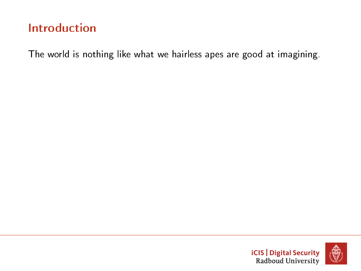The world is nothing like what we hairless apes are good at imagining.



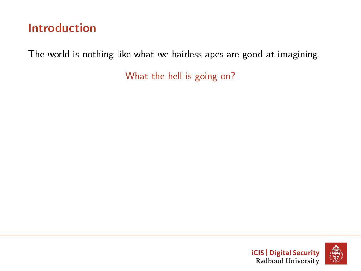The world is nothing like what we hairless apes are good at imagining.



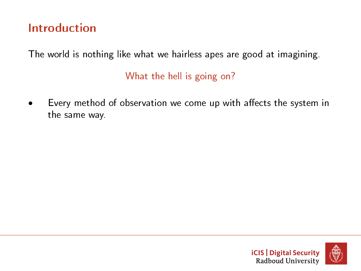The world is nothing like what we hairless apes are good at imagining.

What the hell is going on?

Every method of observation we come up with affects the system in the same way.



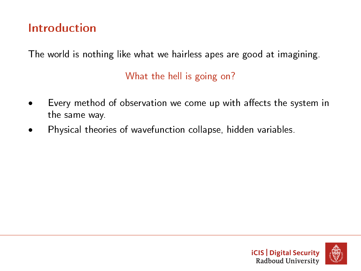The world is nothing like what we hairless apes are good at imagining.

- Every method of observation we come up with affects the system in the same way.
- Physical theories of wavefunction collapse, hidden variables.



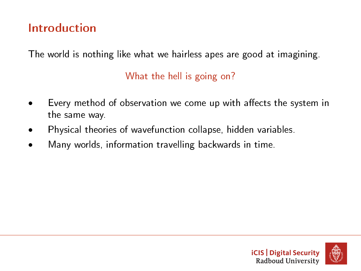The world is nothing like what we hairless apes are good at imagining.

- Every method of observation we come up with affects the system in the same way.
- Physical theories of wavefunction collapse, hidden variables.
- Many worlds, information travelling backwards in time.

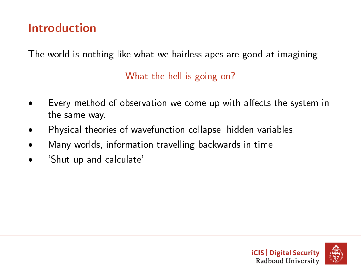The world is nothing like what we hairless apes are good at imagining.

- Every method of observation we come up with affects the system in the same way.
- Physical theories of wavefunction collapse, hidden variables.
- Many worlds, information travelling backwards in time.
- `Shut up and calculate'



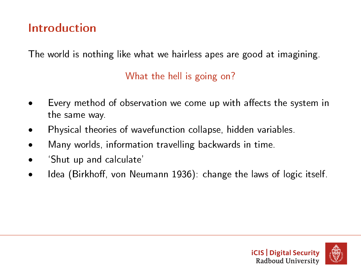The world is nothing like what we hairless apes are good at imagining.

- Every method of observation we come up with affects the system in the same way.
- Physical theories of wavefunction collapse, hidden variables.
- Many worlds, information travelling backwards in time.
- 'Shut up and calculate'
- Idea (Birkhoff, von Neumann 1936): change the laws of logic itself.



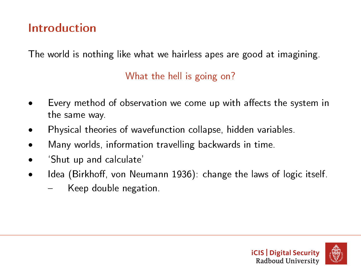The world is nothing like what we hairless apes are good at imagining.

- Every method of observation we come up with affects the system in the same way.
- Physical theories of wavefunction collapse, hidden variables.
- Many worlds, information travelling backwards in time.
- 'Shut up and calculate'
- Idea (Birkhoff, von Neumann 1936): change the laws of logic itself.
	- Keep double negation.

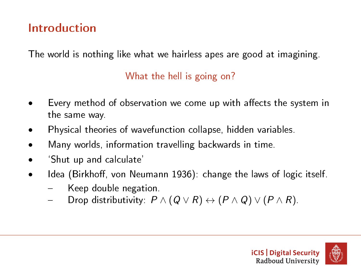The world is nothing like what we hairless apes are good at imagining.

- Every method of observation we come up with affects the system in the same way.
- Physical theories of wavefunction collapse, hidden variables.
- Many worlds, information travelling backwards in time.
- 'Shut up and calculate'
- Idea (Birkhoff, von Neumann 1936): change the laws of logic itself.
	- Keep double negation.
	- Drop distributivity:  $P \wedge (Q \vee R) \leftrightarrow (P \wedge Q) \vee (P \wedge R)$ .



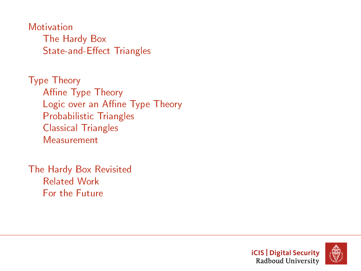**[Motivation](#page-11-0)** [The Hardy Box](#page-11-0) State-and-Effect Triangles

[Type Theory](#page-40-0) Affine Type Theory Logic over an Affine Type Theory [Probabilistic Triangles](#page-47-0) [Classical Triangles](#page-48-0) [Measurement](#page-49-0)

[The Hardy Box Revisited](#page-69-0) [Related Work](#page-70-0) [For the Future](#page-71-0)



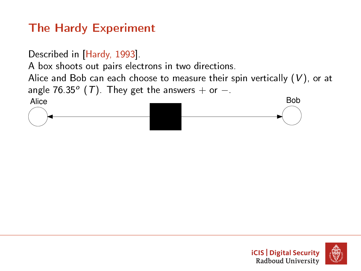Described in [\[Hardy, 1993\]](#page-72-0).

A box shoots out pairs electrons in two directions.

Alice and Bob can each choose to measure their spin vertically  $(V)$ , or at angle 76.35 $^{\circ}$  (T). They get the answers  $+$  or  $-$ .

<span id="page-11-0"></span>

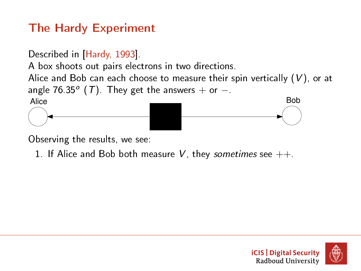Described in [\[Hardy, 1993\]](#page-72-0).

A box shoots out pairs electrons in two directions.

Alice and Bob can each choose to measure their spin vertically  $(V)$ , or at angle 76.35 $^{\circ}$  (T). They get the answers  $+$  or  $-$ .



Observing the results, we see:

1. If Alice and Bob both measure V, they sometimes see  $++$ .

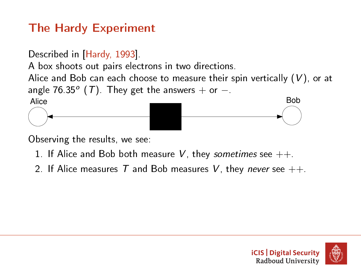Described in [\[Hardy, 1993\]](#page-72-0).

A box shoots out pairs electrons in two directions.

Alice and Bob can each choose to measure their spin vertically  $(V)$ , or at angle 76.35 $^{\circ}$  (T). They get the answers  $+$  or  $-$ .



Observing the results, we see:

- 1. If Alice and Bob both measure V, they sometimes see  $++$ .
- 2. If Alice measures T and Bob measures V, they never see  $++$ .

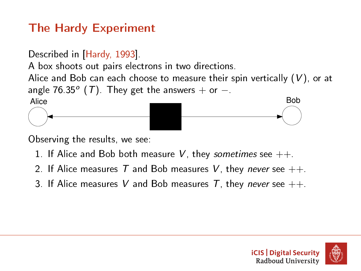Described in [\[Hardy, 1993\]](#page-72-0).

A box shoots out pairs electrons in two directions.

Alice and Bob can each choose to measure their spin vertically  $(V)$ , or at angle 76.35 $^{\circ}$  (T). They get the answers  $+$  or  $-$ .



Observing the results, we see:

- 1. If Alice and Bob both measure V, they sometimes see  $++$ .
- 2. If Alice measures T and Bob measures V, they never see  $++$ .
- 3. If Alice measures V and Bob measures T, they never see  $++$ .



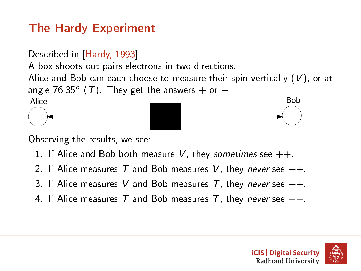Described in [\[Hardy, 1993\]](#page-72-0).

A box shoots out pairs electrons in two directions.

Alice and Bob can each choose to measure their spin vertically  $(V)$ , or at angle 76.35 $^{\circ}$  (T). They get the answers  $+$  or  $-$ .



Observing the results, we see:

- 1. If Alice and Bob both measure V, they sometimes see  $++$ .
- 2. If Alice measures T and Bob measures V, they never see  $++$ .
- 3. If Alice measures V and Bob measures T, they never see  $++$ .
- 4. If Alice measures T and Bob measures T, they never see  $-$ -.

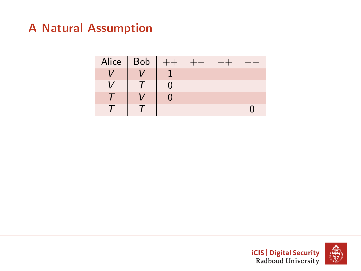



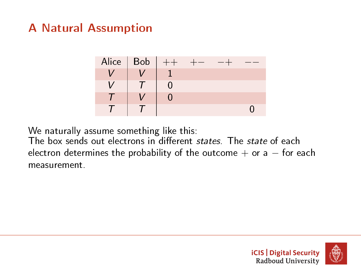

We naturally assume something like this:

The box sends out electrons in different states. The state of each electron determines the probability of the outcome  $+$  or a  $-$  for each measurement.



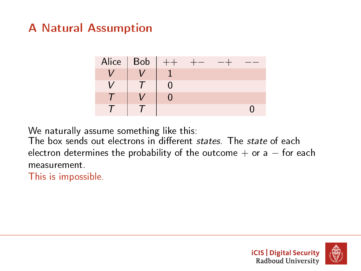

We naturally assume something like this:

The box sends out electrons in different states. The state of each electron determines the probability of the outcome  $+$  or a  $-$  for each measurement.

This is impossible.

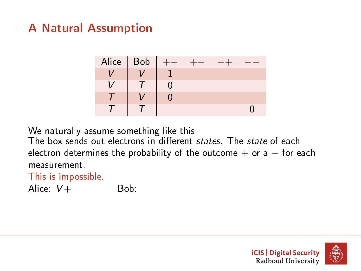

We naturally assume something like this:

The box sends out electrons in different states. The state of each electron determines the probability of the outcome  $+$  or a  $-$  for each measurement.

#### This is impossible.

Alice:  $V +$  Bob:

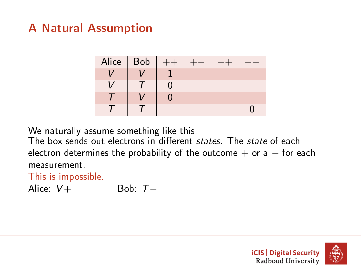

We naturally assume something like this:

The box sends out electrons in different states. The state of each electron determines the probability of the outcome  $+$  or a  $-$  for each measurement.

This is impossible.

Alice:  $V +$  Bob:  $T -$ 



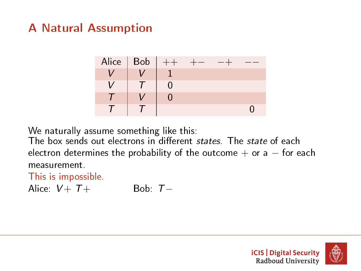

We naturally assume something like this:

The box sends out electrons in different states. The state of each electron determines the probability of the outcome  $+$  or a  $-$  for each measurement.

This is impossible.

Alice:  $V + T +$  Bob:  $T -$ 



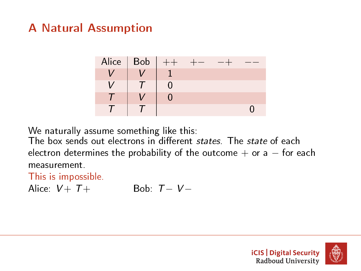

We naturally assume something like this:

The box sends out electrons in different states. The state of each electron determines the probability of the outcome  $+$  or a  $-$  for each measurement.

This is impossible.

Alice:  $V + T +$  Bob:  $T - V -$ 



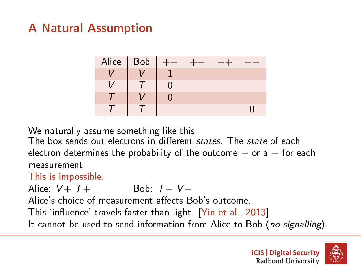

We naturally assume something like this:

The box sends out electrons in different *states*. The *state* of each electron determines the probability of the outcome  $+$  or a  $-$  for each measurement.

This is impossible.

Alice:  $V + T +$  Bob:  $T - V -$ 

Alice's choice of measurement affects Bob's outcome.

This 'influence' travels faster than light. [\[Yin et al., 2013\]](#page-72-1)

It cannot be used to send information from Alice to Bob (no-signalling).

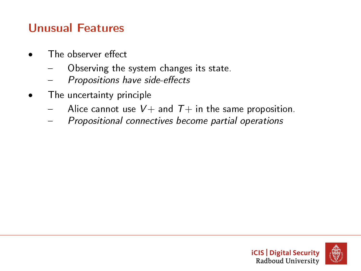#### Unusual Features

- The observer effect
	- Observing the system changes its state.
	- Propositions have side-effects
- The uncertainty principle
	- Alice cannot use  $V$  + and  $T$  + in the same proposition.
	- $-$  Propositional connectives become partial operations

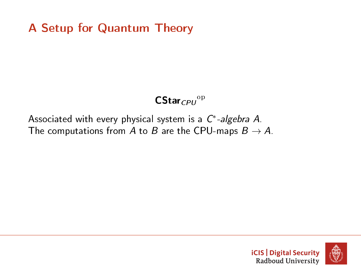#### $CStar_{CPU}$ <sup>op</sup>

#### <span id="page-25-0"></span>Associated with every physical system is a  $C^*$ -algebra A. The computations from A to B are the CPU-maps  $B \to A$ .



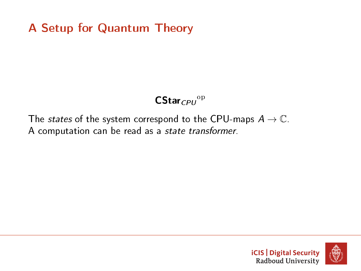#### $CStar_{CPU}$ <sup>op</sup>

The *states* of the system correspond to the CPU-maps  $A \rightarrow \mathbb{C}$ . A computation can be read as a state transformer.



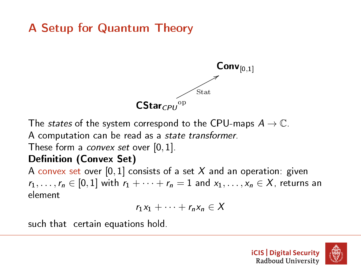

The *states* of the system correspond to the CPU-maps  $A \rightarrow \mathbb{C}$ .

A computation can be read as a state transformer.

These form a *convex set* over  $[0, 1]$ .

#### Definition (Convex Set)

A convex set over  $[0,1]$  consists of a set X and an operation: given  $r_1, \ldots, r_n \in [0,1]$  with  $r_1 + \cdots + r_n = 1$  and  $x_1, \ldots, x_n \in X$ , returns an element

$$
r_1x_1+\cdots+r_nx_n\in X
$$

such that certain equations hold.



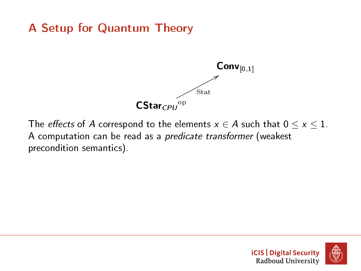

The *effects* of A correspond to the elements  $x \in A$  such that  $0 \le x \le 1$ . A computation can be read as a predicate transformer (weakest precondition semantics).



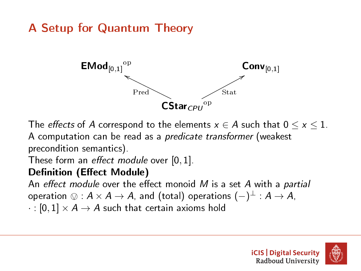

The *effects* of A correspond to the elements  $x \in A$  such that  $0 \le x \le 1$ . A computation can be read as a predicate transformer (weakest precondition semantics).

These form an effect module over  $[0, 1]$ .

#### Definition (Effect Module)

An effect module over the effect monoid  $M$  is a set  $A$  with a partial operation  $\otimes : A \times A \to A$ , and (total) operations  $(-)^{\perp} : A \to A$ ,<br>
∴ [0, 1]  $\times A$ ,  $\wedge A$  such that cortain axioms hold

 $\cdot : [0,1] \times A \rightarrow A$  such that certain axioms hold

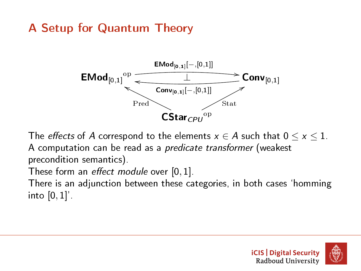

The *effects* of A correspond to the elements  $x \in A$  such that  $0 \le x \le 1$ . A computation can be read as a predicate transformer (weakest precondition semantics).

These form an effect module over  $[0, 1]$ .

There is an adjunction between these categories, in both cases `homming into  $[0,1]'$ .

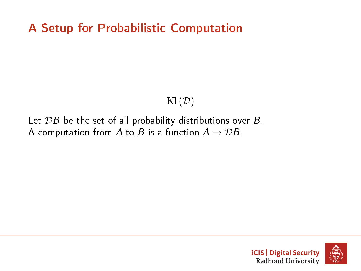#### $\text{Kl}(\mathcal{D})$

#### Let  $\mathcal{D}B$  be the set of all probability distributions over  $B$ . A computation from A to B is a function  $A \rightarrow DB$ .



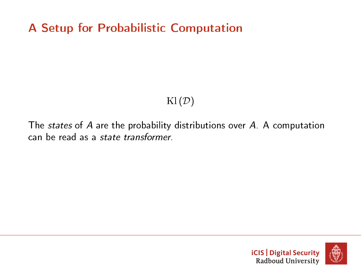#### $\text{Kl}(\mathcal{D})$

The states of A are the probability distributions over A. A computation can be read as a state transformer.



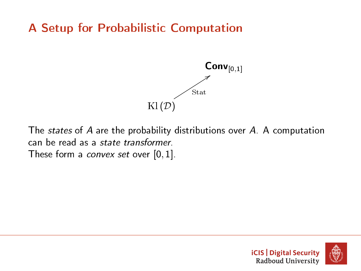

The states of A are the probability distributions over A. A computation can be read as a state transformer. These form a *convex set* over  $[0, 1]$ .

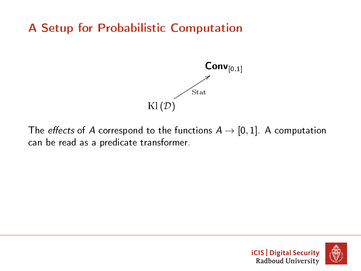

The *effects* of A correspond to the functions  $A \rightarrow [0, 1]$ . A computation can be read as a predicate transformer.

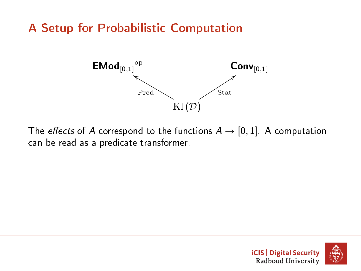

The *effects* of A correspond to the functions  $A \rightarrow [0, 1]$ . A computation can be read as a predicate transformer.

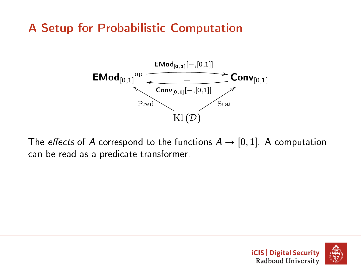# A Setup for Probabilistic Computation



The *effects* of A correspond to the functions  $A \rightarrow [0,1]$ . A computation can be read as a predicate transformer.

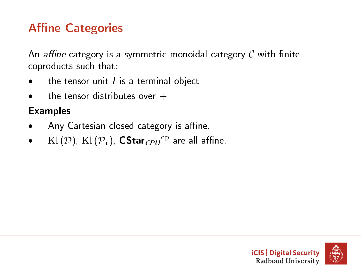# **Affine Categories**

An affine category is a symmetric monoidal category  $C$  with finite coproducts such that:

- the tensor unit  $I$  is a terminal object
- the tensor distributes over  $+$

#### Examples

- Any Cartesian closed category is affine.
- $\quad$  Kl  $(\mathcal{D})$ , Kl  $(\mathcal{P}_*)$ ,  $\mathsf{CStar}_{\mathsf{CPU}}{}^\mathrm{op}$  are all affine.



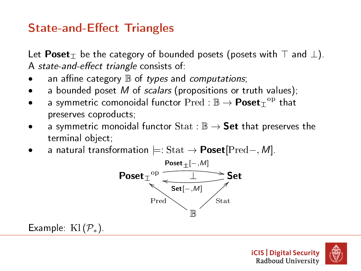# **State-and-Effect Triangles**

Let Poset $_{\top}$  be the category of bounded posets (posets with  $\top$  and  $\bot$ ). A state-and-effect triangle consists of:

- an affine category  $\mathbb B$  of types and computations;
- a bounded poset M of scalars (propositions or truth values);
- $\bullet$   $\quad$  a symmetric comonoidal functor  $\operatorname{Pred} : \mathbb{B} \to \operatorname{\textbf{Poset}}_{\mathbb{I}}^{ \mathrm{op} }$  that preserves coproducts;
- a symmetric monoidal functor  $\text{Stat}: \mathbb{B} \to \text{Set}$  that preserves the terminal object;
- a natural transformation  $\models$ : Stat  $\rightarrow$  Poset[Pred–, M].



Example:  $\text{Kl}(\mathcal{P}_*)$ .



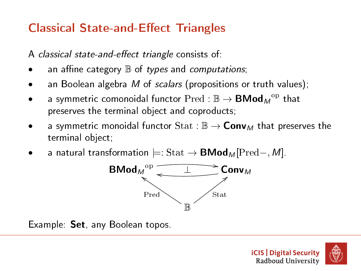# **Classical State-and-Effect Triangles**

A classical state-and-effect triangle consists of:

- an affine category  $\mathbb B$  of types and computations;
- an Boolean algebra  $M$  of scalars (propositions or truth values);
- $\bullet$   $\quad$  a symmetric comonoidal functor  $\operatorname{Pred} : \mathbb{B} \to \mathsf{BMod}_{M}{}^{ \mathrm{op} }$  that preserves the terminal object and coproducts;
- a symmetric monoidal functor  $\text{Stat}: \mathbb{B} \to \text{Conv}_M$  that preserves the terminal object;
- a natural transformation  $\models$ : Stat → **BMod**<sub>M</sub> [Pred–, M].



Example: Set, any Boolean topos.

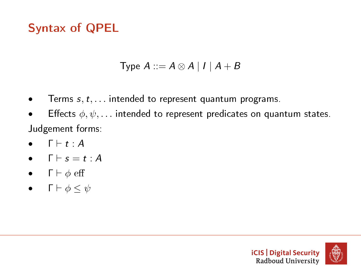# Syntax of QPEL

Type  $A ::= A \otimes A | I | A + B$ 

- Terms  $s, t, \ldots$  intended to represent quantum programs.
- Effects  $\phi, \psi, \ldots$  intended to represent predicates on quantum states. Judgement forms:
- $\bullet$   $\Gamma \vdash t : A$
- $\bullet$   $\Box$   $\vdash$   $s = t : A$
- $\bullet$   $\Gamma \vdash \phi$  eff
- $\Gamma \vdash \phi \leq \psi$

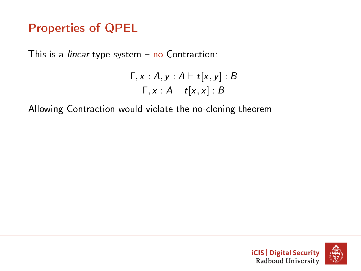# Properties of QPEL

This is a *linear* type system  $-$  no Contraction:

$$
\frac{\Gamma, x:A, y:A \vdash t[x, y]: B}{\Gamma, x:A \vdash t[x, x]: B}
$$

Allowing Contraction would violate the no-cloning theorem

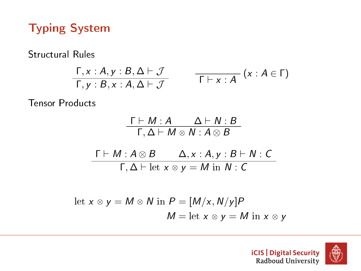# Typing System

Structural Rules

$$
\frac{\Gamma, x:A, y:B, \Delta \vdash \mathcal{J}}{\Gamma, y:B, x:A, \Delta \vdash \mathcal{J}} \qquad \frac{}{\Gamma \vdash x:A} (x:A \in \Gamma)
$$

Tensor Products

$$
\frac{\Gamma \vdash M : A \qquad \Delta \vdash N : B}{\Gamma, \Delta \vdash M \otimes N : A \otimes B}
$$
\n
$$
\frac{\Gamma \vdash M : A \otimes B \qquad \Delta, x : A, y : B \vdash N : C}{\Gamma, \Delta \vdash \text{let } x \otimes y = M \text{ in } N : C}
$$
\n
$$
\text{let } x \otimes y = M \otimes N \text{ in } P = [M/x, N/y]P
$$
\n
$$
M = \text{let } x \otimes y = M \text{ in } x \otimes y
$$

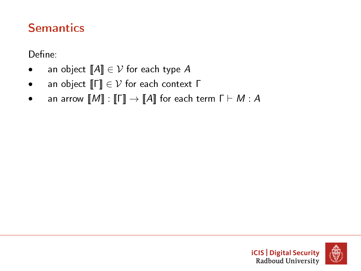# **Semantics**

Define:

- an object  $[\![A]\!] \in \mathcal{V}$  for each type A
- an object  $\llbracket \Gamma \rrbracket \in \mathcal{V}$  for each context  $\Gamma$
- an arrow  $\llbracket M \rrbracket : \llbracket \mathsf{\Gamma} \rrbracket \to \llbracket A \rrbracket$  for each term  $\mathsf{\Gamma} \vdash M : A$

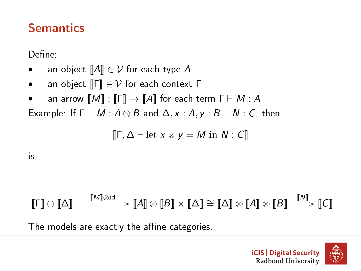#### **Semantics**

Define:

- an object  $\llbracket A \rrbracket \in \mathcal{V}$  for each type A
- an object  $\llbracket \Gamma \rrbracket \in \mathcal{V}$  for each context  $\Gamma$
- an arrow  $[M] : [F] \rightarrow [A]$  for each term  $F \vdash M : A$

Example: If  $\Gamma \vdash M : A \otimes B$  and  $\Delta, x : A, y : B \vdash N : C$ , then

$$
\llbracket \Gamma, \Delta \vdash \mathrm{let} \ x \otimes y = M \ \mathrm{in} \ N : C \rrbracket
$$

is

# $\llbracket \mathsf{r} \rrbracket \otimes \llbracket \Delta \rrbracket \longrightarrow \llbracket \mathsf{M} \rrbracket \otimes \mathsf{M} \rrbracket \otimes \llbracket \mathsf{A} \rrbracket \otimes \llbracket \mathsf{A} \rrbracket \otimes \llbracket \mathsf{A} \rrbracket \otimes \llbracket \mathsf{B} \rrbracket \stackrel{\llbracket \mathsf{M} \rrbracket}{\longrightarrow} \llbracket \mathsf{C} \rrbracket$ The models are exactly the affine categories.

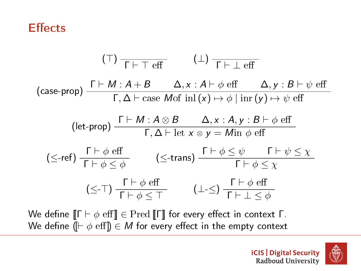#### **Effects**

$$
(\top) \frac{\top}{\Gamma \vdash \top \text{ eff}} \qquad (\bot) \frac{\top}{\Gamma \vdash \bot \text{ eff}}
$$
\n
$$
(\text{case-prop}) \frac{\Gamma \vdash M : A + B \qquad \Delta, x : A \vdash \phi \text{ eff} \qquad \Delta, y : B \vdash \psi \text{ eff}}{\Gamma, \Delta \vdash \text{case } \text{Mof } \text{inl}(x) \mapsto \phi \mid \text{inv}(y) \mapsto \psi \text{ eff}}
$$
\n
$$
(\text{let-prop}) \frac{\Gamma \vdash M : A \otimes B \qquad \Delta, x : A, y : B \vdash \phi \text{ eff}}{\Gamma, \Delta \vdash \text{let } x \otimes y = \text{Min } \phi \text{ eff}}
$$
\n
$$
(\leq \text{-ref}) \frac{\Gamma \vdash \phi \text{ eff}}{\Gamma \vdash \phi \leq \phi} \qquad (\leq \text{-trans}) \frac{\Gamma \vdash \phi \leq \psi \qquad \Gamma \vdash \psi \leq \chi}{\Gamma \vdash \phi \leq \chi}
$$
\n
$$
(\leq \text{-}\top) \frac{\Gamma \vdash \phi \text{ eff}}{\Gamma \vdash \phi \leq \top} \qquad (\perp \leq) \frac{\Gamma \vdash \phi \text{ eff}}{\Gamma \vdash \perp \leq \phi}
$$

We define  $[\![\Gamma \vdash \phi \text{ eff}]\!] \in \text{Pred}[\![\Gamma]\!]$  for every effect in context  $\Gamma$ . We define ( $[\vdash \phi \text{ eff}]$ )  $\in M$  for every effect in the empty context



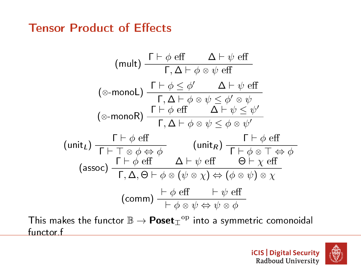#### **Tensor Product of Effects**

(mult) 
$$
\frac{\Gamma \vdash \phi \text{ eff}}{\Gamma, \Delta \vdash \phi \otimes \psi \text{ eff}}
$$
  
\n
$$
(\text{\textcirc--} \text{monol}) \frac{\Gamma \vdash \phi \leq \phi' \quad \Delta \vdash \psi \text{ eff}}{\Gamma, \Delta \vdash \phi \otimes \psi \leq \phi' \otimes \psi}
$$
  
\n
$$
(\text{\textcirc--} \text{monol}) \frac{\Gamma \vdash \phi \leq \phi' \quad \Delta \vdash \psi \text{ eff}}{\Gamma, \Delta \vdash \phi \otimes \psi \leq \phi \otimes \psi'}
$$
  
\n
$$
(\text{unit}_L) \frac{\Gamma \vdash \phi \text{ eff}}{\Gamma \vdash \top \otimes \phi \Leftrightarrow \phi} \quad (\text{unit}_R) \frac{\Gamma \vdash \phi \text{ eff}}{\Gamma \vdash \phi \otimes \top \Leftrightarrow \phi}
$$
  
\n
$$
(\text{assoc}) \frac{\Gamma \vdash \phi \text{ eff}}{\Gamma, \Delta, \Theta \vdash \phi \otimes (\psi \otimes \chi) \Leftrightarrow (\phi \otimes \psi) \otimes \chi}
$$
  
\n
$$
(\text{comm}) \frac{\vdash \phi \text{ eff}}{\vdash \phi \otimes \psi \Leftrightarrow \psi \otimes \phi}
$$

This makes the functor  $\mathbb{B} \to \mathsf{Poset}_\mathbb{T}{}^{\mathrm{op}}$  into a symmetric comonoidal functor.f

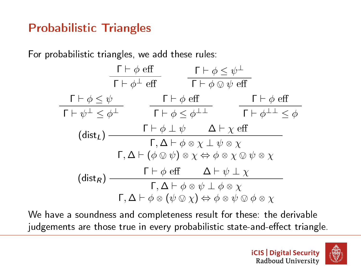# Probabilistic Triangles

For probabilistic triangles, we add these rules:



We have a soundness and completeness result for these: the derivable judgements are those true in every probabilistic state-and-effect triangle.

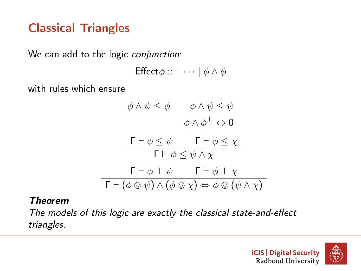#### Classical Triangles

We can add to the logic conjunction:

$$
\mathsf{Effect} \phi ::= \cdots \mid \phi \land \phi
$$

with rules which ensure

$$
\phi \land \psi \leq \phi \qquad \phi \land \psi \leq \psi
$$

$$
\phi \land \phi^{\perp} \Leftrightarrow 0
$$

$$
\frac{\Gamma \vdash \phi \leq \psi \qquad \Gamma \vdash \phi \leq \chi}{\Gamma \vdash \phi \leq \psi \land \chi}
$$

$$
\frac{\Gamma \vdash \phi \perp \psi \qquad \Gamma \vdash \phi \perp \chi}{\Gamma \vdash (\phi \otimes \psi) \land (\phi \otimes \chi) \Leftrightarrow \phi \otimes (\psi \land \chi)}
$$

#### Theorem

The models of this logic are exactly the classical state-and-effect triangles.

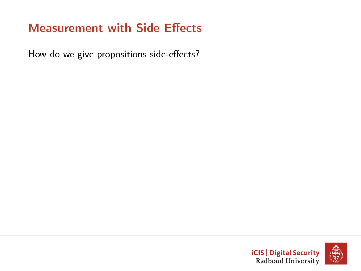How do we give propositions side-effects?



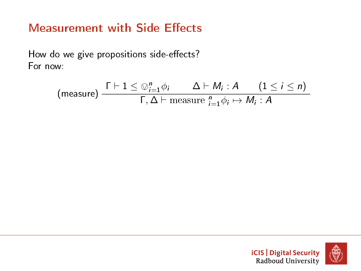How do we give propositions side-effects? For now:

$$
\text{(measure)} \frac{\Gamma \vdash 1 \leq \bigcirc_{i=1}^{n} \phi_{i}}{\Gamma, \Delta \vdash \text{measure } \bigcirc_{i=1}^{n} \phi_{i} \mapsto M_{i} : A} \quad (1 \leq i \leq n)
$$



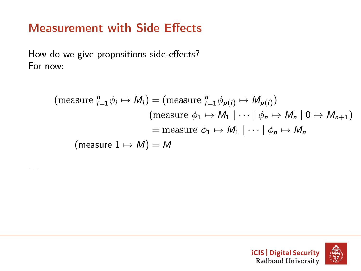How do we give propositions side-effects? For now:

. . .

$$
\begin{aligned} \text{(measure } \,^n_{i=1} \phi_i \mapsto M_i) &= \text{(measure } \,^n_{i=1} \phi_{p(i)} \mapsto M_{p(i)}) \\ &\text{(measure } \phi_1 \mapsto M_1 \mid \dots \mid \phi_n \mapsto M_n \mid 0 \mapsto M_{n+1}) \\ &= \text{measure } \phi_1 \mapsto M_1 \mid \dots \mid \phi_n \mapsto M_n \\ \text{(measure } 1 \mapsto M) &= M \end{aligned}
$$



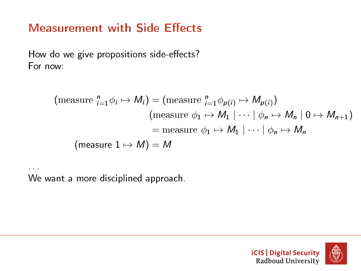How do we give propositions side-effects? For now:

$$
\begin{aligned} \text{(measure } \,^n_{i=1} \phi_i \mapsto M_i) &= \text{(measure } \,^n_{i=1} \phi_{p(i)} \mapsto M_{p(i)}) \\ &\text{(measure } \phi_1 \mapsto M_1 \mid \dots \mid \phi_n \mapsto M_n \mid 0 \mapsto M_{n+1}) \\ &= \text{measure } \phi_1 \mapsto M_1 \mid \dots \mid \phi_n \mapsto M_n \\ \text{(measure } 1 \mapsto M) &= M \end{aligned}
$$

We want a more disciplined approach.

. . .



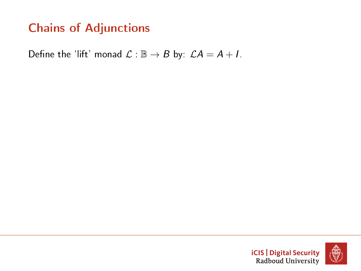Define the 'lift' monad  $\mathcal{L} : \mathbb{B} \to B$  by:  $\mathcal{L}A = A + I$ .

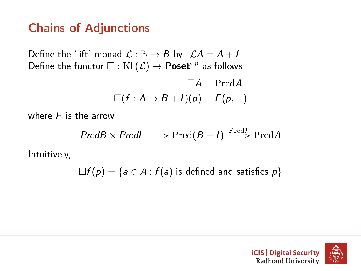Define the 'lift' monad  $\mathcal{L} : \mathbb{B} \to B$  by:  $\mathcal{L}A = A + I$ . Define the functor  $\square :$  Kl $(\mathcal{L}) \to \text{Poset}^{\text{op}}$  as follows

$$
\Box A = \mathrm{Pred}A
$$

$$
\Box (f : A \to B + I)(p) = F(p, \top)
$$

where  $F$  is the arrow

$$
PredB \times Pred \longrightarrow Pred(B + I) \xrightarrow{\text{Pred}f} PredA
$$

Intuitively,

 $\Box f(p) = \{a \in A : f(a)$  is defined and satisfies  $p\}$ 

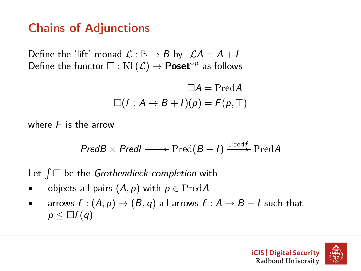Define the 'lift' monad  $\mathcal{L} : \mathbb{B} \to B$  by:  $\mathcal{L}A = A + I$ . Define the functor  $\square$  : Kl $(\mathcal{L}) \rightarrow$  **Poset**<sup>op</sup> as follows

$$
\Box A = \mathrm{Pred}A
$$

$$
\Box (f : A \rightarrow B + I)(p) = F(p, \top)
$$

where  $F$  is the arrow

$$
PredB \times Pred \longrightarrow Pred(B + I) \xrightarrow{\text{Pred}f} \text{Pred}A
$$

Let  $\int \Box$  be the Grothendieck completion with

- objects all pairs  $(A, p)$  with  $p \in \text{Pred}A$
- arrows  $f:(A, p) \rightarrow (B, q)$  all arrows  $f:A \rightarrow B+I$  such that  $p \leq \Box f(q)$

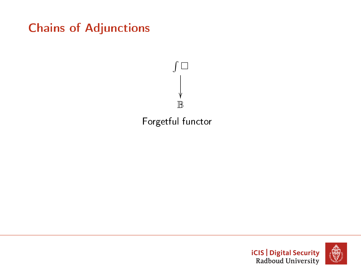



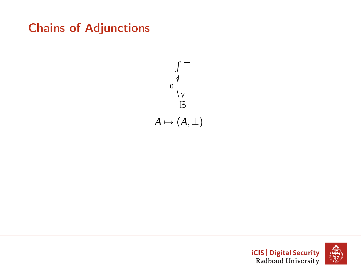



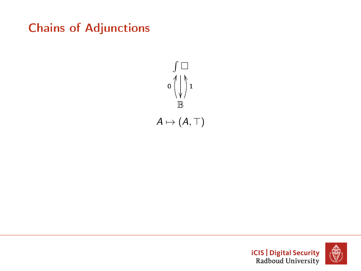



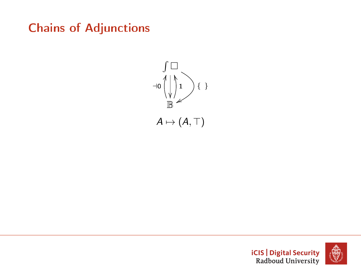



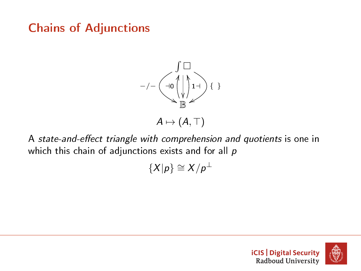

A state-and-effect triangle with comprehension and quotients is one in which this chain of adjunctions exists and for all  $p$ 

 $\{X|p\} \cong X/p^{\perp}$ 



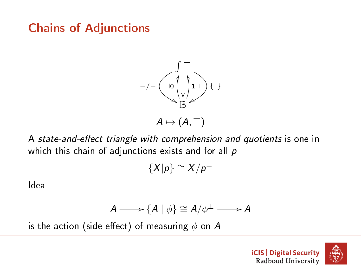

A state-and-effect triangle with comprehension and quotients is one in which this chain of adjunctions exists and for all  $p$ 

$$
\{X|p\}\cong X/p^\perp
$$

Idea

$$
A \longrightarrow \{A \mid \phi\} \cong A/\phi^{\perp} \longrightarrow A
$$

is the action (side-effect) of measuring  $\phi$  on A.



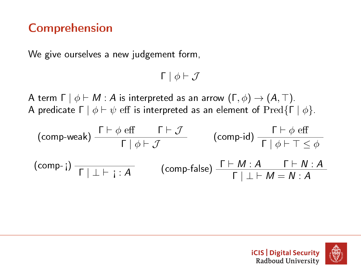#### Comprehension

We give ourselves a new judgement form,

 $Γ | φ ⊢ J$ 

A term  $\Gamma \mid \phi \vdash M : A$  is interpreted as an arrow  $(\Gamma, \phi) \rightarrow (A, \top)$ . A predicate  $\Gamma \mid \phi \vdash \psi$  eff is interpreted as an element of Pred{ $\Gamma \mid \phi$ }.

$$
\begin{array}{ccc}\n\text{(comp-weak)} & \frac{\Gamma \vdash \phi \text{ eff}}{\Gamma \mid \phi \vdash \mathcal{J}} & \text{(comp-id)} \frac{\Gamma \vdash \phi \text{ eff}}{\Gamma \mid \phi \vdash \top \leq \phi} \\
\text{(comp-i)} & \frac{\Gamma \vdash \phi \text{ eff}}{\Gamma \mid \bot \vdash i : A} & \text{(comp-false)} \frac{\Gamma \vdash M : A \qquad \Gamma \vdash N : A}{\Gamma \mid \bot \vdash M = N : A}\n\end{array}
$$

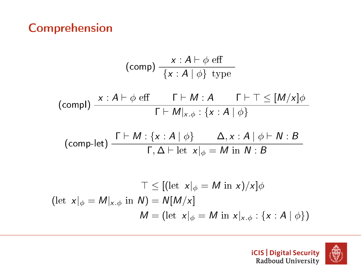#### Comprehension

$$
(\text{comp}) \frac{x : A \vdash \phi \text{ eff}}{\{x : A \mid \phi\} \text{ type}}
$$
\n
$$
(\text{comp}) \frac{x : A \vdash \phi \text{ eff}}{\Gamma \vdash M : A} \frac{\Gamma \vdash \top \leq [M/x] \phi}{\Gamma \vdash M|_{x.\phi} : \{x : A \mid \phi\}}\n\tag{comp-left} \frac{\Gamma \vdash M : \{x : A \mid \phi\}}{\Gamma, \Delta \vdash \text{let } x|_{\phi} = M \text{ in } N : B}\n\tag{comp-left} \frac{\top \leq [(\text{let } x|_{\phi} = M \text{ in } x)/x] \phi}{\Gamma, \Delta \vdash \text{ let } x|_{\phi} = M \text{ in } x)/x \phi}
$$
\n
$$
(\text{let } x|_{\phi} = M|_{x.\phi} \text{ in } N) = N[M/x] \frac{\pi}{M} = (\text{let } x|_{\phi} = M \text{ in } x|_{x.\phi} : \{x : A \mid \phi\})
$$



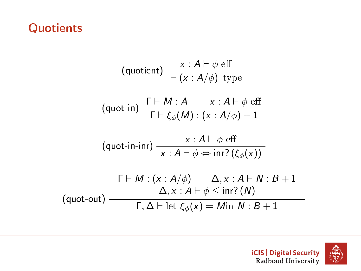## **Quotients**

$$
\begin{array}{c}\n\text{(quotient)} \frac{x:A \vdash \phi \text{ eff}}{|\vdash (x:A/\phi) \text{ type}} \\
\text{(quot-in)} \frac{\Gamma \vdash M:A \quad x:A \vdash \phi \text{ eff}}{\Gamma \vdash \xi_{\phi}(M):(x:A/\phi)+1} \\
\text{(quot-in-inr)} \frac{x:A \vdash \phi \text{ eff}}{x:A \vdash \phi \Leftrightarrow \text{inr?}(\xi_{\phi}(x))} \\
\Gamma \vdash M: (x:A/\phi) \quad \Delta, x:A \vdash N:B+1 \\
\text{(quot-out)} \frac{\Delta, x:A \vdash \phi \leq \text{inr?}(N)}{\Gamma, \Delta \vdash \text{let } \xi_{\phi}(x)=\text{Min } N:B+1}\n\end{array}
$$

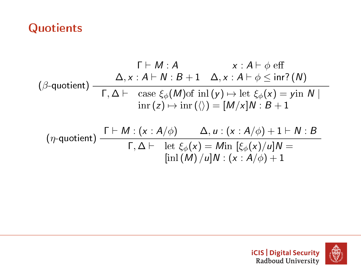#### **Quotients**

$$
\begin{array}{c}\n\Gamma \vdash M : A & x : A \vdash \phi \text{ eff} \\
(\beta\text{-quotient}) & \Delta, x : A \vdash N : B + 1 & \Delta, x : A \vdash \phi \leq \text{inr?}(N) \\
\hline\n\Gamma, \Delta \vdash \text{ case } \xi_{\phi}(M) \text{ of } \text{inl}(y) \mapsto \text{let } \xi_{\phi}(x) = \text{yin } N \mid \\
\text{inr}(z) \mapsto \text{inr}(\langle \rangle) = [M/x]N : B + 1 \\
(\eta\text{-quotient}) & \frac{\Gamma \vdash M : (x : A/\phi) \quad \Delta, u : (x : A/\phi) + 1 \vdash N : B}{\Gamma, \Delta \vdash} \\
\hline\n\text{inl}(M) / u]N : (x : A/\phi) + 1\n\end{array}
$$



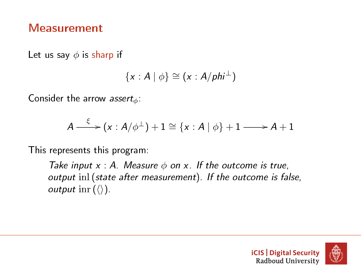#### Measurement

Let us say  $\phi$  is sharp if

$$
\{x:A\mid\phi\}\cong(x:A/\rho h i^{\perp})
$$

Consider the arrow assert<sub> $\phi$ </sub>:

$$
A \xrightarrow{\xi} (x : A/\phi^{\perp}) + 1 \cong \{x : A \mid \phi\} + 1 \longrightarrow A + 1
$$

This represents this program:

Take input  $x : A$ . Measure  $\phi$  on  $x$ . If the outcome is true, output inl(state after measurement). If the outcome is false, *output* inr  $(\langle \rangle)$ .

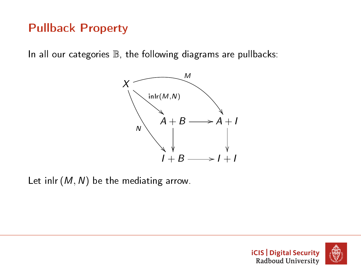# Pullback Property

In all our categories  $\mathbb B$ , the following diagrams are pullbacks:



Let inlr  $(M, N)$  be the mediating arrow.



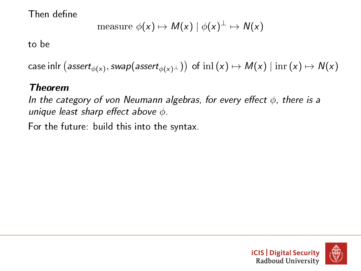Then define

$$
measure \phi(x) \mapsto M(x) | \phi(x)^{\perp} \mapsto N(x)
$$

to be

case inIr  $\big($  asser $t_{\phi({\sf x})},$  swap $({\sf assert}_{\phi({\sf x})^\perp})\big) \,$  of  $\, \mathrm{inl}\,({\sf x}) \mapsto M({\sf x}) \mid \mathrm{inr}\,({\sf x}) \mapsto N({\sf x})$ 

#### Theorem

In the category of von Neumann algebras, for every effect  $\phi$ , there is a unique least sharp effect above  $\phi$ .

For the future: build this into the syntax.

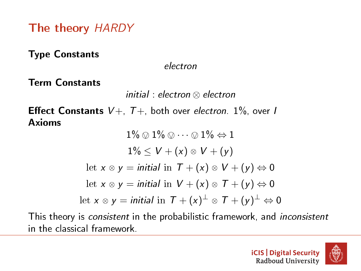The theory HARDY

Type Constants

electron

Term Constants

initial : electron ⊗ electron

**Effect Constants**  $V_+$ ,  $T_+$ , both over electron. 1%, over I Axioms

$$
1\% \otimes 1\% \otimes \cdots \otimes 1\% \Leftrightarrow 1
$$
  

$$
1\% \le V + (x) \otimes V + (y)
$$
  
let  $x \otimes y = initial$  in  $T + (x) \otimes V + (y) \Leftrightarrow 0$   
let  $x \otimes y = initial$  in  $V + (x) \otimes T + (y) \Leftrightarrow 0$   
let  $x \otimes y = initial$  in  $T + (x)^{\perp} \otimes T + (y)^{\perp} \Leftrightarrow 0$ 

This theory is consistent in the probabilistic framework, and inconsistent in the classical framework.

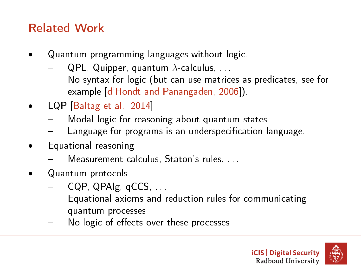# Related Work

- Quantum programming languages without logic.
	- QPL, Quipper, quantum  $\lambda$ -calculus, ...
	- No syntax for logic (but can use matrices as predicates, see for example [\[d'Hondt and Panangaden, 2006\]](#page-72-0)).
- LQP [\[Baltag et al., 2014\]](#page-72-1)
	- Modal logic for reasoning about quantum states
	- Language for programs is an underspecification language.
- Equational reasoning
	- Measurement calculus, Staton's rules, . . .
- Quantum protocols
	- CQP, QPAIg, qCCS
	- Equational axioms and reduction rules for communicating quantum processes
	- No logic of effects over these processes



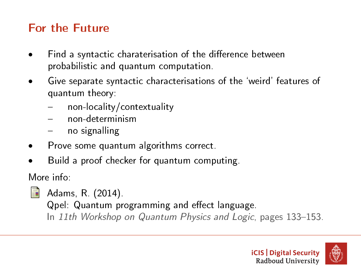# For the Future

- Find a syntactic charaterisation of the difference between probabilistic and quantum computation.
- Give separate syntactic characterisations of the `weird' features of quantum theory:
	- non-locality/contextuality
	- non-determinism
	- no signalling
- Prove some quantum algorithms correct.
- Build a proof checker for quantum computing.

More info:

Adams, R. (2014).

Qpel: Quantum programming and effect language.

In 11th Workshop on Quantum Physics and Logic, pages 133-153.